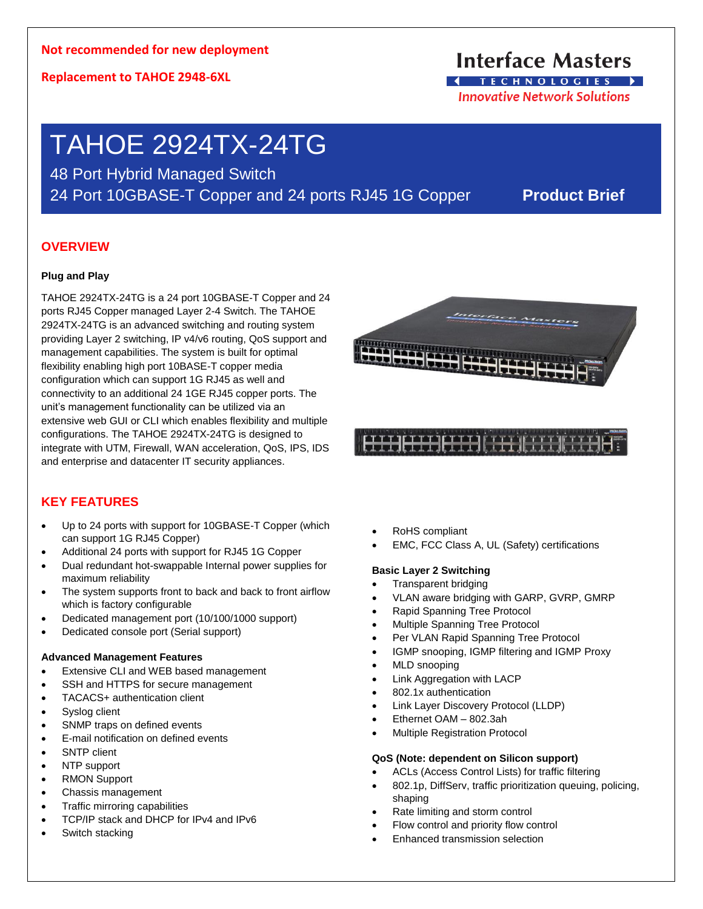**Replacement to TAHOE 2948-6XL**

## **Interface Masters IFCHNOLOGIES**

**Innovative Network Solutions** 

# TAHOE 2924TX-24TG

48 Port Hybrid Managed Switch 24 Port 10GBASE-T Copper and 24 ports RJ45 1G Copper **Product Brief**

## **OVERVIEW**

## **Plug and Play**

TAHOE 2924TX-24TG is a 24 port 10GBASE-T Copper and 24 ports RJ45 Copper managed Layer 2-4 Switch. The TAHOE 2924TX-24TG is an advanced switching and routing system providing Layer 2 switching, IP v4/v6 routing, QoS support and management capabilities. The system is built for optimal flexibility enabling high port 10BASE-T copper media configuration which can support 1G RJ45 as well and connectivity to an additional 24 1GE RJ45 copper ports. The unit's management functionality can be utilized via an extensive web GUI or CLI which enables flexibility and multiple configurations. The TAHOE 2924TX-24TG is designed to integrate with UTM, Firewall, WAN acceleration, QoS, IPS, IDS and enterprise and datacenter IT security appliances.



Interface Maste

## **KEY FEATURES**

- Up to 24 ports with support for 10GBASE-T Copper (which can support 1G RJ45 Copper)
- Additional 24 ports with support for RJ45 1G Copper
- Dual redundant hot-swappable Internal power supplies for maximum reliability
- The system supports front to back and back to front airflow which is factory configurable
- Dedicated management port (10/100/1000 support)
- Dedicated console port (Serial support)

## **Advanced Management Features**

- Extensive CLI and WEB based management
- SSH and HTTPS for secure management
- TACACS+ authentication client
- Syslog client
- SNMP traps on defined events
- E-mail notification on defined events
- SNTP client
- NTP support
- RMON Support
- Chassis management
- Traffic mirroring capabilities
- TCP/IP stack and DHCP for IPv4 and IPv6
- Switch stacking
- RoHS compliant
- EMC, FCC Class A, UL (Safety) certifications

## **Basic Layer 2 Switching**

- Transparent bridging
- VLAN aware bridging with GARP, GVRP, GMRP
- Rapid Spanning Tree Protocol
- Multiple Spanning Tree Protocol
- Per VLAN Rapid Spanning Tree Protocol
- IGMP snooping, IGMP filtering and IGMP Proxy
- MLD snooping
- **Link Aggregation with LACP**
- 802.1x authentication
- Link Layer Discovery Protocol (LLDP)
- Ethernet OAM 802.3ah
- Multiple Registration Protocol

## **QoS (Note: dependent on Silicon support)**

- ACLs (Access Control Lists) for traffic filtering
- 802.1p, DiffServ, traffic prioritization queuing, policing, shaping
- Rate limiting and storm control
- Flow control and priority flow control
- Enhanced transmission selection